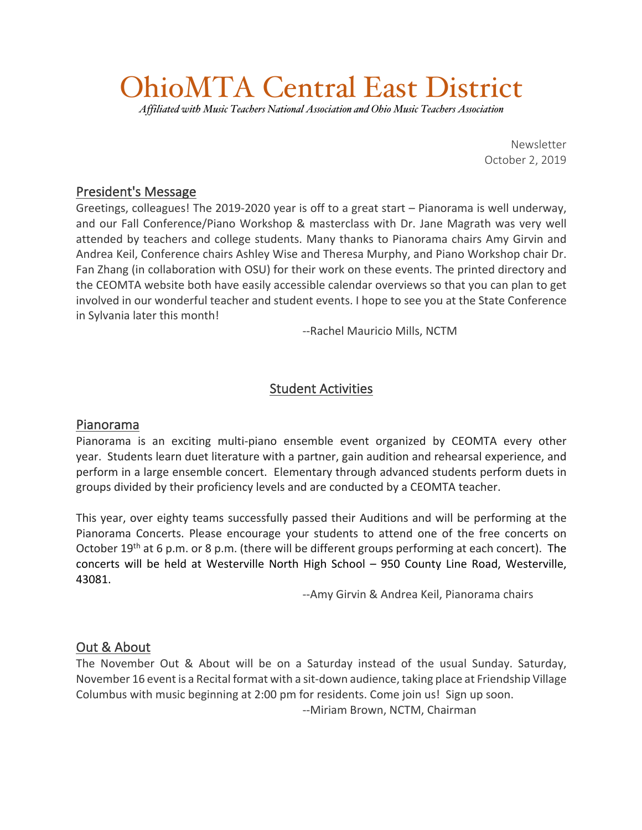# OhioMTA Central East District

*Affiliated with Music Teachers National Association and Ohio Music Teachers Association*

Newsletter October 2, 2019

#### President's Message

Greetings, colleagues! The 2019-2020 year is off to a great start – Pianorama is well underway, and our Fall Conference/Piano Workshop & masterclass with Dr. Jane Magrath was very well attended by teachers and college students. Many thanks to Pianorama chairs Amy Girvin and Andrea Keil, Conference chairs Ashley Wise and Theresa Murphy, and Piano Workshop chair Dr. Fan Zhang (in collaboration with OSU) for their work on these events. The printed directory and the CEOMTA website both have easily accessible calendar overviews so that you can plan to get involved in our wonderful teacher and student events. I hope to see you at the State Conference in Sylvania later this month!

--Rachel Mauricio Mills, NCTM

# Student Activities

### Pianorama

Pianorama is an exciting multi-piano ensemble event organized by CEOMTA every other year. Students learn duet literature with a partner, gain audition and rehearsal experience, and perform in a large ensemble concert. Elementary through advanced students perform duets in groups divided by their proficiency levels and are conducted by a CEOMTA teacher.

This year, over eighty teams successfully passed their Auditions and will be performing at the Pianorama Concerts. Please encourage your students to attend one of the free concerts on October 19<sup>th</sup> at 6 p.m. or 8 p.m. (there will be different groups performing at each concert). The concerts will be held at Westerville North High School – 950 County Line Road, Westerville, 43081.

--Amy Girvin & Andrea Keil, Pianorama chairs

#### Out & About

The November Out & About will be on a Saturday instead of the usual Sunday. Saturday, November 16 event is a Recital format with a sit-down audience, taking place at Friendship Village Columbus with music beginning at 2:00 pm for residents. Come join us! Sign up soon. --Miriam Brown, NCTM, Chairman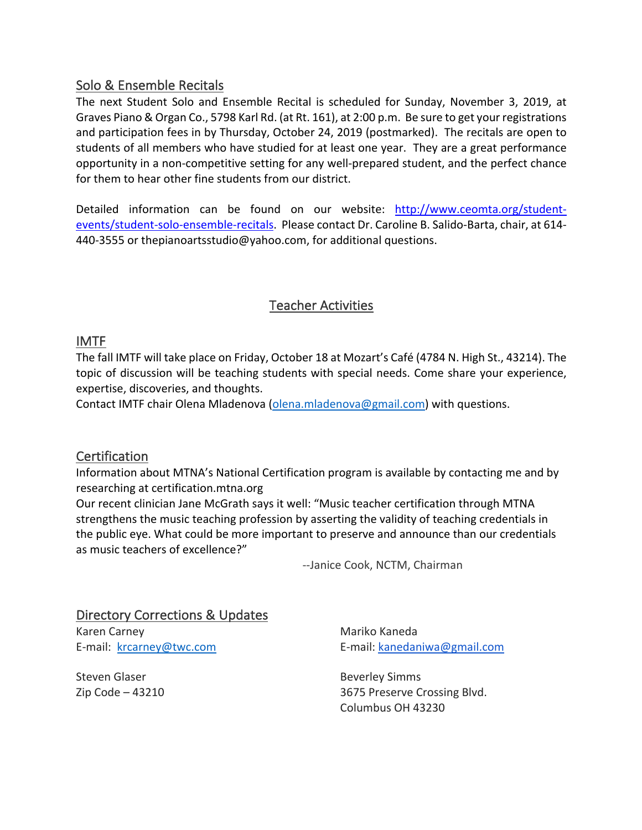#### Solo & Ensemble Recitals

The next Student Solo and Ensemble Recital is scheduled for Sunday, November 3, 2019, at Graves Piano & Organ Co., 5798 Karl Rd. (at Rt. 161), at 2:00 p.m. Be sure to get your registrations and participation fees in by Thursday, October 24, 2019 (postmarked). The recitals are open to students of all members who have studied for at least one year. They are a great performance opportunity in a non-competitive setting for any well-prepared student, and the perfect chance for them to hear other fine students from our district.

Detailed information can be found on our website: http://www.ceomta.org/studentevents/student-solo-ensemble-recitals. Please contact Dr. Caroline B. Salido-Barta, chair, at 614- 440-3555 or thepianoartsstudio@yahoo.com, for additional questions.

# Teacher Activities

# IMTF

The fall IMTF will take place on Friday, October 18 at Mozart's Café (4784 N. High St., 43214). The topic of discussion will be teaching students with special needs. Come share your experience, expertise, discoveries, and thoughts.

Contact IMTF chair Olena Mladenova (olena.mladenova@gmail.com) with questions.

### **Certification**

Information about MTNA's National Certification program is available by contacting me and by researching at certification.mtna.org

Our recent clinician Jane McGrath says it well: "Music teacher certification through MTNA strengthens the music teaching profession by asserting the validity of teaching credentials in the public eye. What could be more important to preserve and announce than our credentials as music teachers of excellence?"

--Janice Cook, NCTM, Chairman

Directory Corrections & Updates Karen Carney E-mail: krcarney@twc.com

Steven Glaser Zip Code – 43210 Mariko Kaneda E-mail: kanedaniwa@gmail.com

Beverley Simms 3675 Preserve Crossing Blvd. Columbus OH 43230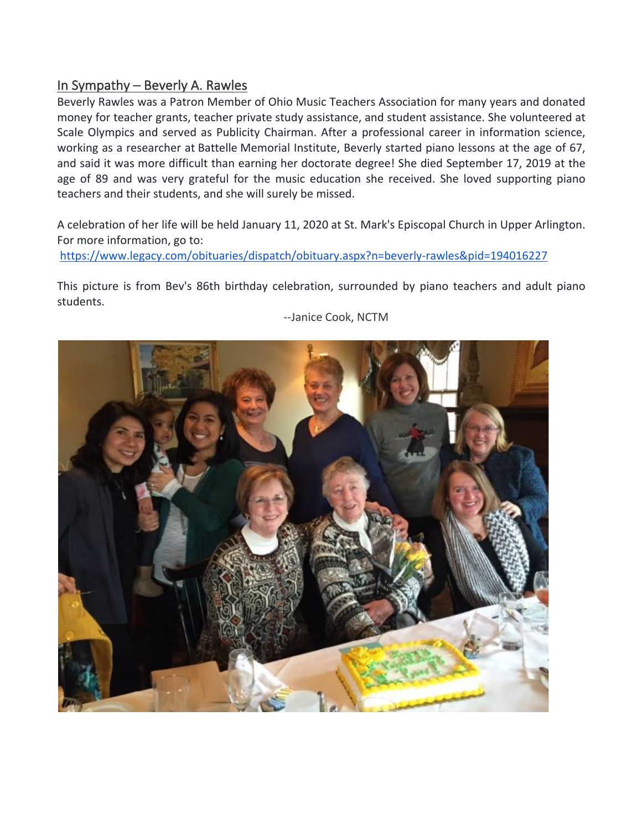# In Sympathy – Beverly A. Rawles

Beverly Rawles was a Patron Member of Ohio Music Teachers Association for many years and donated money for teacher grants, teacher private study assistance, and student assistance. She volunteered at Scale Olympics and served as Publicity Chairman. After a professional career in information science, working as a researcher at Battelle Memorial Institute, Beverly started piano lessons at the age of 67, and said it was more difficult than earning her doctorate degree! She died September 17, 2019 at the age of 89 and was very grateful for the music education she received. She loved supporting piano teachers and their students, and she will surely be missed.

A celebration of her life will be held January 11, 2020 at St. Mark's Episcopal Church in Upper Arlington. For more information, go to:

https://www.legacy.com/obituaries/dispatch/obituary.aspx?n=beverly-rawles&pid=194016227

This picture is from Bev's 86th birthday celebration, surrounded by piano teachers and adult piano students.



--Janice Cook, NCTM